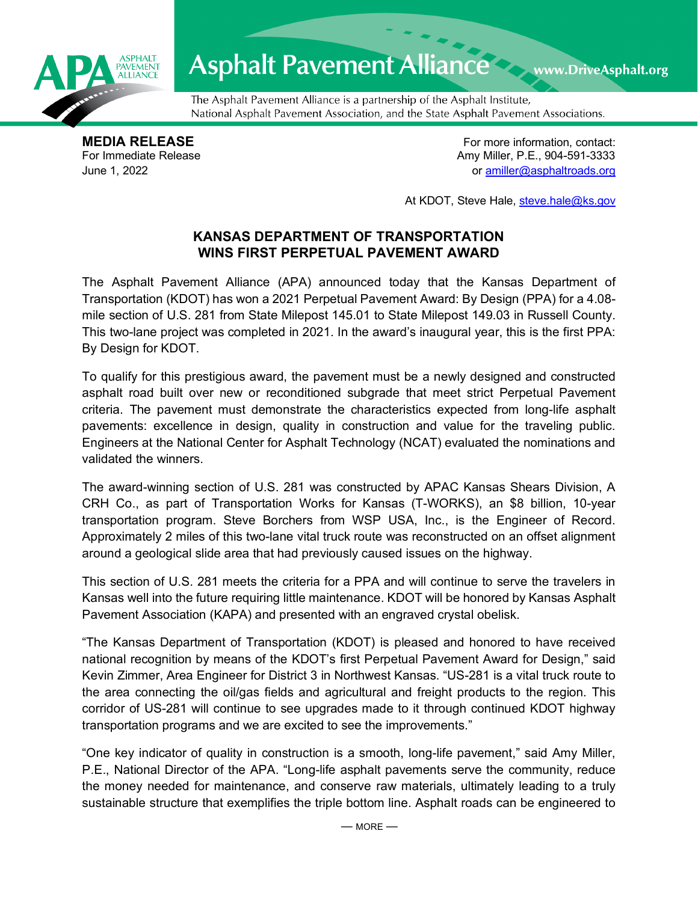

## Asphalt Pavement Alliance Mark DriveAsphalt.org

The Asphalt Pavement Alliance is a partnership of the Asphalt Institute, National Asphalt Pavement Association, and the State Asphalt Pavement Associations.

**MEDIA RELEASE**<br>
For Immediate Release **For more information, contact:**<br>
For Immediate Release **For the Structure of Amy Miller, P.E., 904-591-3333** Amy Miller, P.E., 904-591-3333 June 1, 2022 or [amiller@asphaltroads.org](mailto:amiller@asphaltroads.org)

At KDOT, Steve Hale, [steve.hale@ks.gov](mailto:steve.hale@ks.gov)

## **KANSAS DEPARTMENT OF TRANSPORTATION WINS FIRST PERPETUAL PAVEMENT AWARD**

The Asphalt Pavement Alliance (APA) announced today that the Kansas Department of Transportation (KDOT) has won a 2021 Perpetual Pavement Award: By Design (PPA) for a 4.08 mile section of U.S. 281 from State Milepost 145.01 to State Milepost 149.03 in Russell County. This two-lane project was completed in 2021. In the award's inaugural year, this is the first PPA: By Design for KDOT.

To qualify for this prestigious award, the pavement must be a newly designed and constructed asphalt road built over new or reconditioned subgrade that meet strict Perpetual Pavement criteria. The pavement must demonstrate the characteristics expected from long-life asphalt pavements: excellence in design, quality in construction and value for the traveling public. Engineers at the National Center for Asphalt Technology (NCAT) evaluated the nominations and validated the winners.

The award-winning section of U.S. 281 was constructed by APAC Kansas Shears Division, A CRH Co., as part of Transportation Works for Kansas (T-WORKS), an \$8 billion, 10-year transportation program. Steve Borchers from WSP USA, Inc., is the Engineer of Record. Approximately 2 miles of this two-lane vital truck route was reconstructed on an offset alignment around a geological slide area that had previously caused issues on the highway.

This section of U.S. 281 meets the criteria for a PPA and will continue to serve the travelers in Kansas well into the future requiring little maintenance. KDOT will be honored by Kansas Asphalt Pavement Association (KAPA) and presented with an engraved crystal obelisk.

"The Kansas Department of Transportation (KDOT) is pleased and honored to have received national recognition by means of the KDOT's first Perpetual Pavement Award for Design," said Kevin Zimmer, Area Engineer for District 3 in Northwest Kansas. "US-281 is a vital truck route to the area connecting the oil/gas fields and agricultural and freight products to the region. This corridor of US-281 will continue to see upgrades made to it through continued KDOT highway transportation programs and we are excited to see the improvements."

"One key indicator of quality in construction is a smooth, long-life pavement," said Amy Miller, P.E., National Director of the APA. "Long-life asphalt pavements serve the community, reduce the money needed for maintenance, and conserve raw materials, ultimately leading to a truly sustainable structure that exemplifies the triple bottom line. Asphalt roads can be engineered to